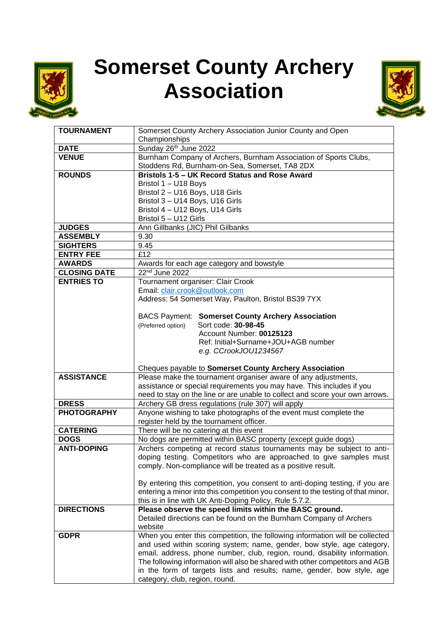

## **Somerset County Archery Association**



| <b>TOURNAMENT</b>   | Somerset County Archery Association Junior County and Open<br>Championships                                                                            |  |  |  |  |
|---------------------|--------------------------------------------------------------------------------------------------------------------------------------------------------|--|--|--|--|
| <b>DATE</b>         | Sunday 26th June 2022                                                                                                                                  |  |  |  |  |
| <b>VENUE</b>        | Burnham Company of Archers, Burnham Association of Sports Clubs,                                                                                       |  |  |  |  |
|                     | Stoddens Rd, Burnham-on-Sea, Somerset, TA8 2DX                                                                                                         |  |  |  |  |
| <b>ROUNDS</b>       | Bristols 1-5 - UK Record Status and Rose Award                                                                                                         |  |  |  |  |
|                     | Bristol 1 - U18 Boys                                                                                                                                   |  |  |  |  |
|                     | Bristol 2 - U16 Boys, U18 Girls                                                                                                                        |  |  |  |  |
|                     | Bristol 3 - U14 Boys, U16 Girls                                                                                                                        |  |  |  |  |
|                     | Bristol 4 - U12 Boys, U14 Girls                                                                                                                        |  |  |  |  |
|                     | Bristol 5 - U12 Girls                                                                                                                                  |  |  |  |  |
| <b>JUDGES</b>       | Ann Gillbanks (JIC) Phil Gilbanks                                                                                                                      |  |  |  |  |
| <b>ASSEMBLY</b>     | 9.30                                                                                                                                                   |  |  |  |  |
| <b>SIGHTERS</b>     | 9.45                                                                                                                                                   |  |  |  |  |
| <b>ENTRY FEE</b>    | £12                                                                                                                                                    |  |  |  |  |
| <b>AWARDS</b>       | Awards for each age category and bowstyle                                                                                                              |  |  |  |  |
| <b>CLOSING DATE</b> | 22nd June 2022                                                                                                                                         |  |  |  |  |
| <b>ENTRIES TO</b>   | Tournament organiser: Clair Crook                                                                                                                      |  |  |  |  |
|                     | Email: clair.crook@outlook.com                                                                                                                         |  |  |  |  |
|                     | Address: 54 Somerset Way, Paulton, Bristol BS39 7YX                                                                                                    |  |  |  |  |
|                     |                                                                                                                                                        |  |  |  |  |
|                     | <b>BACS Payment: Somerset County Archery Association</b>                                                                                               |  |  |  |  |
|                     | Sort code: 30-98-45<br>(Preferred option)                                                                                                              |  |  |  |  |
|                     | Account Number: 00125123                                                                                                                               |  |  |  |  |
|                     | Ref: Initial+Surname+JOU+AGB number                                                                                                                    |  |  |  |  |
|                     | e.g. CCrookJOU1234567                                                                                                                                  |  |  |  |  |
|                     | Cheques payable to Somerset County Archery Association                                                                                                 |  |  |  |  |
| <b>ASSISTANCE</b>   | Please make the tournament organiser aware of any adjustments,                                                                                         |  |  |  |  |
|                     | assistance or special requirements you may have. This includes if you                                                                                  |  |  |  |  |
|                     | need to stay on the line or are unable to collect and score your own arrows.                                                                           |  |  |  |  |
| <b>DRESS</b>        | Archery GB dress regulations (rule 307) will apply                                                                                                     |  |  |  |  |
| <b>PHOTOGRAPHY</b>  | Anyone wishing to take photographs of the event must complete the                                                                                      |  |  |  |  |
|                     | register held by the tournament officer.                                                                                                               |  |  |  |  |
| <b>CATERING</b>     | There will be no catering at this event                                                                                                                |  |  |  |  |
| <b>DOGS</b>         | No dogs are permitted within BASC property (except guide dogs)                                                                                         |  |  |  |  |
| <b>ANTI-DOPING</b>  | Archers competing at record status tournaments may be subject to anti-                                                                                 |  |  |  |  |
|                     | doping testing. Competitors who are approached to give samples must                                                                                    |  |  |  |  |
|                     | comply. Non-compliance will be treated as a positive result.                                                                                           |  |  |  |  |
|                     |                                                                                                                                                        |  |  |  |  |
|                     | By entering this competition, you consent to anti-doping testing, if you are                                                                           |  |  |  |  |
|                     | entering a minor into this competition you consent to the testing of that minor,                                                                       |  |  |  |  |
|                     | this is in line with UK Anti-Doping Policy, Rule 5.7.2.                                                                                                |  |  |  |  |
| <b>DIRECTIONS</b>   | Please observe the speed limits within the BASC ground.                                                                                                |  |  |  |  |
|                     | Detailed directions can be found on the Burnham Company of Archers                                                                                     |  |  |  |  |
|                     | website                                                                                                                                                |  |  |  |  |
| <b>GDPR</b>         | When you enter this competition, the following information will be collected<br>and used within scoring system; name, gender, bow style, age category, |  |  |  |  |
|                     | email, address, phone number, club, region, round, disability information.                                                                             |  |  |  |  |
|                     | The following information will also be shared with other competitors and AGB                                                                           |  |  |  |  |
|                     | in the form of targets lists and results; name, gender, bow style, age                                                                                 |  |  |  |  |
|                     | category, club, region, round.                                                                                                                         |  |  |  |  |